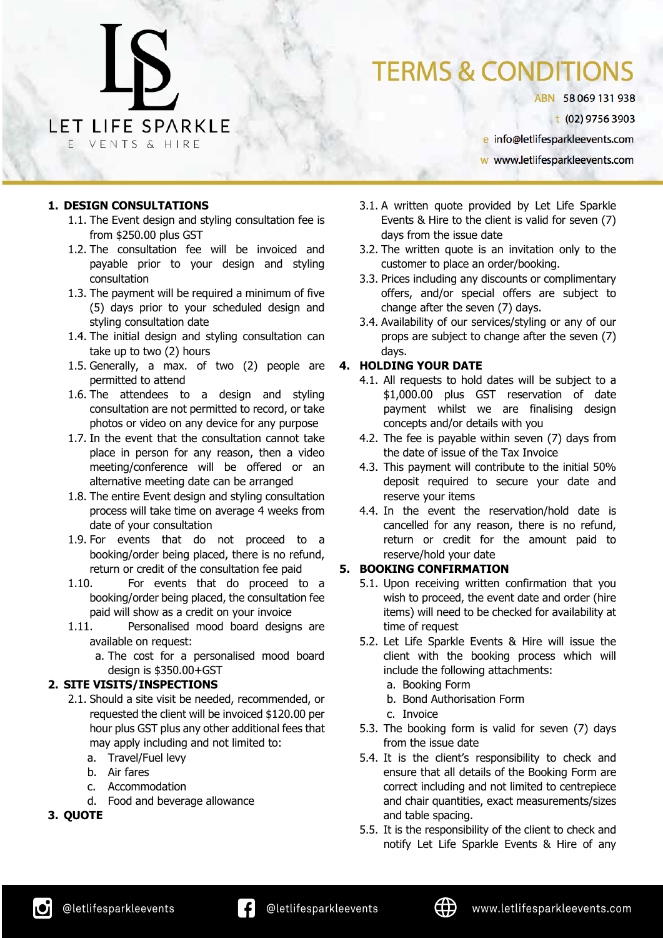### **TERMS & CONDITIONS**

ABN 58069131938

t (02) 9756 3903

e info@letlifesparkleevents.com

w www.letlifesparkleevents.com

#### **1. DESIGN CONSULTATIONS**

- 1.1. The Event design and styling consultation fee is from \$250.00 plus GST
- 1.2. The consultation fee will be invoiced and payable prior to your design and styling consultation
- 1.3. The payment will be required a minimum of five (5) days prior to your scheduled design and styling consultation date
- 1.4. The initial design and styling consultation can take up to two (2) hours
- 1.5. Generally, a max. of two (2) people are permitted to attend
- 1.6. The attendees to a design and styling consultation are not permitted to record, or take photos or video on any device for any purpose
- 1.7. In the event that the consultation cannot take place in person for any reason, then a video meeting/conference will be offered or an alternative meeting date can be arranged
- 1.8. The entire Event design and styling consultation process will take time on average 4 weeks from date of your consultation
- 1.9. For events that do not proceed to a booking/order being placed, there is no refund, return or credit of the consultation fee paid
- 1.10. For events that do proceed to a booking/order being placed, the consultation fee paid will show as a credit on your invoice
- 1.11. Personalised mood board designs are available on request:
	- a. The cost for a personalised mood board design is \$350.00+GST

#### **2. SITE VISITS/INSPECTIONS**

- 2.1. Should a site visit be needed, recommended, or requested the client will be invoiced \$120.00 per hour plus GST plus any other additional fees that may apply including and not limited to:
	- a. Travel/Fuel levy
	- b. Air fares
	- c. Accommodation
	- d. Food and beverage allowance

#### **3. QUOTE**

- 3.1. A written quote provided by Let Life Sparkle Events & Hire to the client is valid for seven (7) days from the issue date
- 3.2. The written quote is an invitation only to the customer to place an order/booking.
- 3.3. Prices including any discounts or complimentary offers, and/or special offers are subject to change after the seven (7) days.
- 3.4. Availability of our services/styling or any of our props are subject to change after the seven (7) days.

#### **4. HOLDING YOUR DATE**

- 4.1. All requests to hold dates will be subject to a \$1,000.00 plus GST reservation of date payment whilst we are finalising design concepts and/or details with you
- 4.2. The fee is payable within seven (7) days from the date of issue of the Tax Invoice
- 4.3. This payment will contribute to the initial 50% deposit required to secure your date and reserve your items
- 4.4. In the event the reservation/hold date is cancelled for any reason, there is no refund, return or credit for the amount paid to reserve/hold your date

#### **5. BOOKING CONFIRMATION**

- 5.1. Upon receiving written confirmation that you wish to proceed, the event date and order (hire items) will need to be checked for availability at time of request
- 5.2. Let Life Sparkle Events & Hire will issue the client with the booking process which will include the following attachments:
	- a. Booking Form
	- b. Bond Authorisation Form
	- c. Invoice
- 5.3. The booking form is valid for seven (7) days from the issue date
- 5.4. It is the client's responsibility to check and ensure that all details of the Booking Form are correct including and not limited to centrepiece and chair quantities, exact measurements/sizes and table spacing.
- 5.5. It is the responsibility of the client to check and notify Let Life Sparkle Events & Hire of any

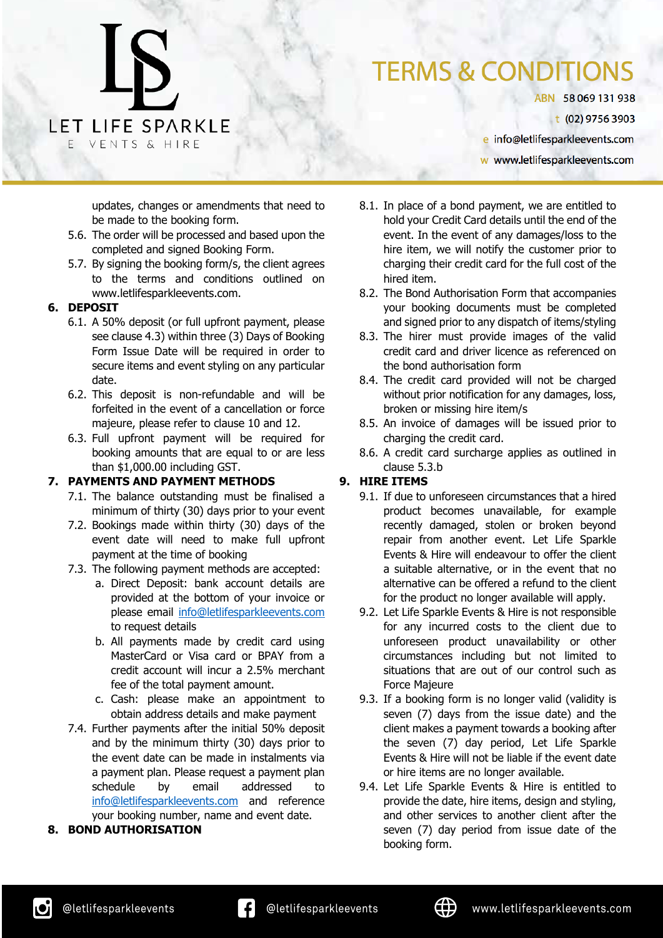ABN 58069131938

t (02) 9756 3903

e info@letlifesparkleevents.com

w www.letlifesparkleevents.com

updates, changes or amendments that need to be made to the booking form.

5.6. The order will be processed and based upon the completed and signed Booking Form.

LET LIFE SPARKLE

VENTS & HIRE

5.7. By signing the booking form/s, the client agrees to the terms and conditions outlined on www.letlifesparkleevents.com.

#### **6. DEPOSIT**

- 6.1. A 50% deposit (or full upfront payment, please see clause 4.3) within three (3) Days of Booking Form Issue Date will be required in order to secure items and event styling on any particular date.
- 6.2. This deposit is non-refundable and will be forfeited in the event of a cancellation or force majeure, please refer to clause 10 and 12.
- 6.3. Full upfront payment will be required for booking amounts that are equal to or are less than \$1,000.00 including GST.

#### **7. PAYMENTS AND PAYMENT METHODS**

- 7.1. The balance outstanding must be finalised a minimum of thirty (30) days prior to your event
- 7.2. Bookings made within thirty (30) days of the event date will need to make full upfront payment at the time of booking
- 7.3. The following payment methods are accepted:
	- a. Direct Deposit: bank account details are provided at the bottom of your invoice or please email info@letlifesparkleevents.com to request details
	- b. All payments made by credit card using MasterCard or Visa card or BPAY from a credit account will incur a 2.5% merchant fee of the total payment amount.
	- c. Cash: please make an appointment to obtain address details and make payment
- 7.4. Further payments after the initial 50% deposit and by the minimum thirty (30) days prior to the event date can be made in instalments via a payment plan. Please request a payment plan schedule by email addressed to info@letlifesparkleevents.com and reference your booking number, name and event date.

#### **8. BOND AUTHORISATION**

- 8.1. In place of a bond payment, we are entitled to hold your Credit Card details until the end of the event. In the event of any damages/loss to the hire item, we will notify the customer prior to charging their credit card for the full cost of the hired item.
- 8.2. The Bond Authorisation Form that accompanies your booking documents must be completed and signed prior to any dispatch of items/styling
- 8.3. The hirer must provide images of the valid credit card and driver licence as referenced on the bond authorisation form
- 8.4. The credit card provided will not be charged without prior notification for any damages, loss, broken or missing hire item/s
- 8.5. An invoice of damages will be issued prior to charging the credit card.
- 8.6. A credit card surcharge applies as outlined in clause 5.3.b

#### **9. HIRE ITEMS**

- 9.1. If due to unforeseen circumstances that a hired product becomes unavailable, for example recently damaged, stolen or broken beyond repair from another event. Let Life Sparkle Events & Hire will endeavour to offer the client a suitable alternative, or in the event that no alternative can be offered a refund to the client for the product no longer available will apply.
- 9.2. Let Life Sparkle Events & Hire is not responsible for any incurred costs to the client due to unforeseen product unavailability or other circumstances including but not limited to situations that are out of our control such as Force Majeure
- 9.3. If a booking form is no longer valid (validity is seven (7) days from the issue date) and the client makes a payment towards a booking after the seven (7) day period, Let Life Sparkle Events & Hire will not be liable if the event date or hire items are no longer available.
- 9.4. Let Life Sparkle Events & Hire is entitled to provide the date, hire items, design and styling, and other services to another client after the seven (7) day period from issue date of the booking form.

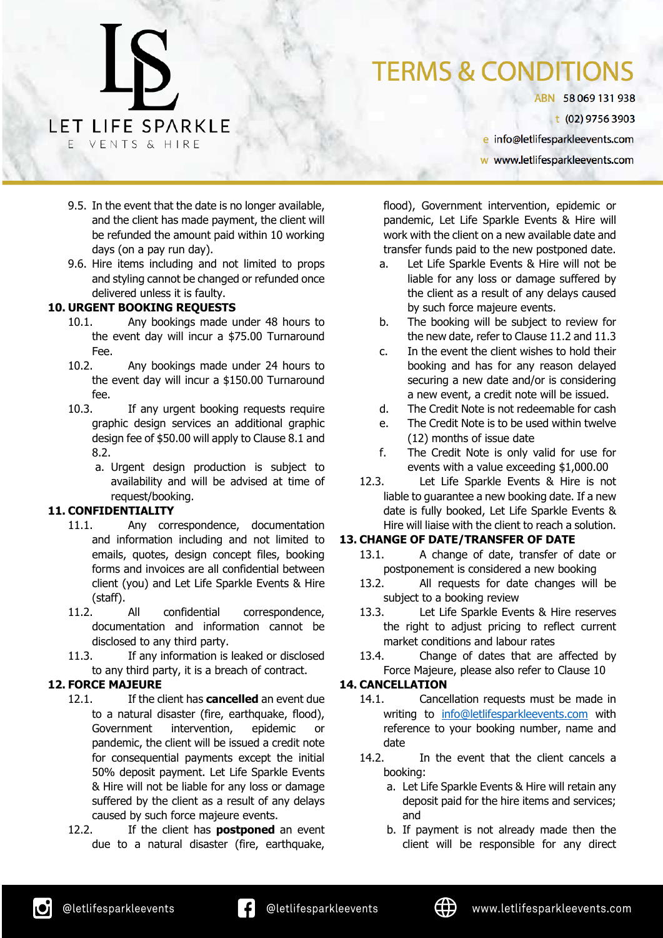ABN 58069131938

t (02) 9756 3903

e info@letlifesparkleevents.com

w www.letlifesparkleevents.com

- 9.5. In the event that the date is no longer available, and the client has made payment, the client will be refunded the amount paid within 10 working days (on a pay run day).
- 9.6. Hire items including and not limited to props and styling cannot be changed or refunded once delivered unless it is faulty.

#### **10. URGENT BOOKING REQUESTS**

LET LIFE SPARKLE

VENTS & HIRE

- 10.1. Any bookings made under 48 hours to the event day will incur a \$75.00 Turnaround Fee.
- 10.2. Any bookings made under 24 hours to the event day will incur a \$150.00 Turnaround fee.
- 10.3. If any urgent booking requests require graphic design services an additional graphic design fee of \$50.00 will apply to Clause 8.1 and 8.2.
	- a. Urgent design production is subject to availability and will be advised at time of request/booking.

#### **11. CONFIDENTIALITY**

- 11.1. Any correspondence, documentation and information including and not limited to emails, quotes, design concept files, booking forms and invoices are all confidential between client (you) and Let Life Sparkle Events & Hire (staff).
- 11.2. All confidential correspondence, documentation and information cannot be disclosed to any third party.
- 11.3. If any information is leaked or disclosed to any third party, it is a breach of contract.

#### **12. FORCE MAJEURE**

- 12.1. If the client has **cancelled** an event due to a natural disaster (fire, earthquake, flood), Government intervention, epidemic or pandemic, the client will be issued a credit note for consequential payments except the initial 50% deposit payment. Let Life Sparkle Events & Hire will not be liable for any loss or damage suffered by the client as a result of any delays caused by such force majeure events.
- 12.2. If the client has **postponed** an event due to a natural disaster (fire, earthquake,

flood), Government intervention, epidemic or pandemic, Let Life Sparkle Events & Hire will work with the client on a new available date and transfer funds paid to the new postponed date.

- a. Let Life Sparkle Events & Hire will not be liable for any loss or damage suffered by the client as a result of any delays caused by such force majeure events.
- b. The booking will be subject to review for the new date, refer to Clause 11.2 and 11.3
- c. In the event the client wishes to hold their booking and has for any reason delayed securing a new date and/or is considering a new event, a credit note will be issued.
- d. The Credit Note is not redeemable for cash
- e. The Credit Note is to be used within twelve (12) months of issue date
- f. The Credit Note is only valid for use for events with a value exceeding \$1,000.00
- 12.3. Let Life Sparkle Events & Hire is not liable to guarantee a new booking date. If a new date is fully booked, Let Life Sparkle Events & Hire will liaise with the client to reach a solution.

#### **13. CHANGE OF DATE/TRANSFER OF DATE**

- 13.1. A change of date, transfer of date or postponement is considered a new booking
- 13.2. All requests for date changes will be subject to a booking review
- 13.3. Let Life Sparkle Events & Hire reserves the right to adjust pricing to reflect current market conditions and labour rates
- 13.4. Change of dates that are affected by Force Majeure, please also refer to Clause 10

#### **14. CANCELLATION**

- 14.1. Cancellation requests must be made in writing to info@letlifesparkleevents.com with reference to your booking number, name and date
- 14.2. In the event that the client cancels a booking:
	- a. Let Life Sparkle Events & Hire will retain any deposit paid for the hire items and services; and
	- b. If payment is not already made then the client will be responsible for any direct

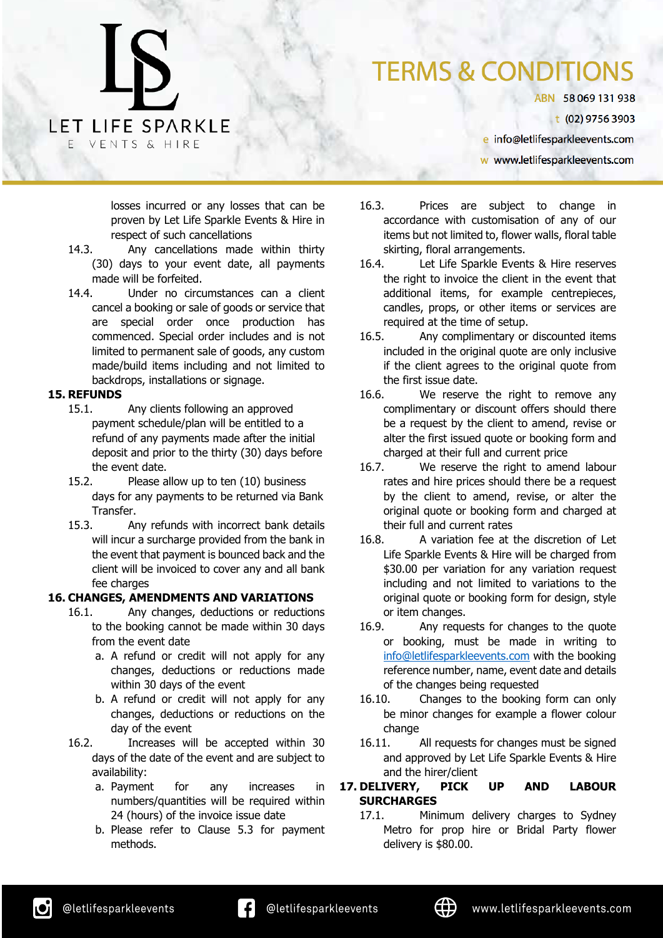### **TERMS & CONDITIONS**

ABN 58069131938

t (02) 9756 3903

e info@letlifesparkleevents.com

w www.letlifesparkleevents.com

losses incurred or any losses that can be proven by Let Life Sparkle Events & Hire in respect of such cancellations

- 14.3. Any cancellations made within thirty (30) days to your event date, all payments made will be forfeited.
- 14.4. Under no circumstances can a client cancel a booking or sale of goods or service that are special order once production has commenced. Special order includes and is not limited to permanent sale of goods, any custom made/build items including and not limited to backdrops, installations or signage.

#### **15. REFUNDS**

- 15.1. Any clients following an approved payment schedule/plan will be entitled to a refund of any payments made after the initial deposit and prior to the thirty (30) days before the event date.
- 15.2. Please allow up to ten (10) business days for any payments to be returned via Bank **Transfer**
- 15.3. Any refunds with incorrect bank details will incur a surcharge provided from the bank in the event that payment is bounced back and the client will be invoiced to cover any and all bank fee charges

#### **16. CHANGES, AMENDMENTS AND VARIATIONS**

- 16.1. Any changes, deductions or reductions to the booking cannot be made within 30 days from the event date
	- a. A refund or credit will not apply for any changes, deductions or reductions made within 30 days of the event
	- b. A refund or credit will not apply for any changes, deductions or reductions on the day of the event
- 16.2. Increases will be accepted within 30 days of the date of the event and are subject to availability:
	- a. Payment for any increases in numbers/quantities will be required within 24 (hours) of the invoice issue date
	- b. Please refer to Clause 5.3 for payment methods.
- 16.3. Prices are subject to change in accordance with customisation of any of our items but not limited to, flower walls, floral table skirting, floral arrangements.
- 16.4. Let Life Sparkle Events & Hire reserves the right to invoice the client in the event that additional items, for example centrepieces, candles, props, or other items or services are required at the time of setup.
- 16.5. Any complimentary or discounted items included in the original quote are only inclusive if the client agrees to the original quote from the first issue date.
- 16.6. We reserve the right to remove any complimentary or discount offers should there be a request by the client to amend, revise or alter the first issued quote or booking form and charged at their full and current price
- 16.7. We reserve the right to amend labour rates and hire prices should there be a request by the client to amend, revise, or alter the original quote or booking form and charged at their full and current rates
- 16.8. A variation fee at the discretion of Let Life Sparkle Events & Hire will be charged from \$30.00 per variation for any variation request including and not limited to variations to the original quote or booking form for design, style or item changes.
- 16.9. Any requests for changes to the quote or booking, must be made in writing to info@letlifesparkleevents.com with the booking reference number, name, event date and details of the changes being requested
- 16.10. Changes to the booking form can only be minor changes for example a flower colour change
- 16.11. All requests for changes must be signed and approved by Let Life Sparkle Events & Hire and the hirer/client
- **17. DELIVERY, PICK UP AND LABOUR SURCHARGES**
	- 17.1. Minimum delivery charges to Sydney Metro for prop hire or Bridal Party flower delivery is \$80.00.

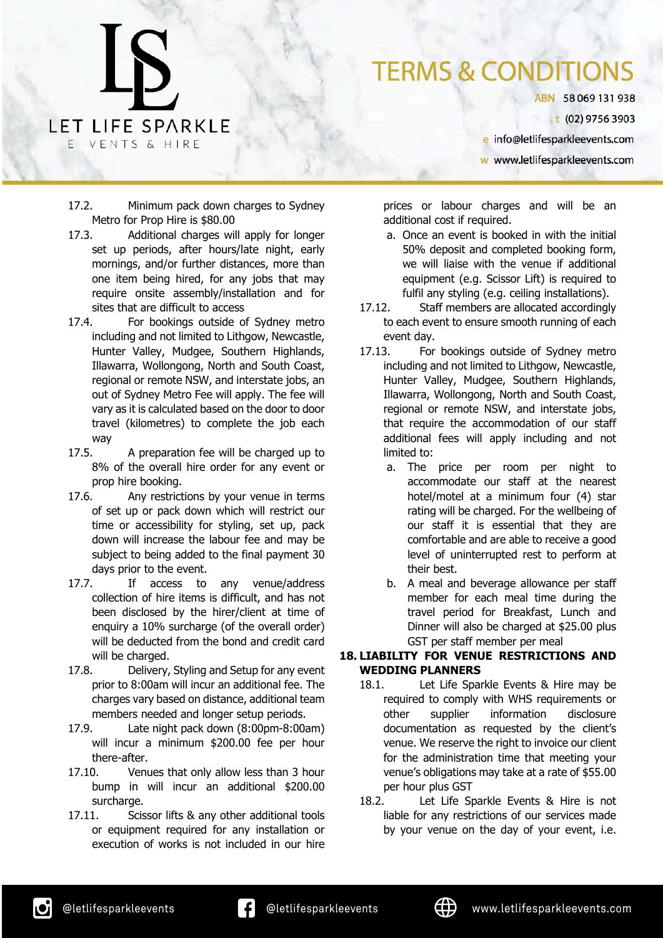ABN 58069131938

t (02) 9756 3903

e info@letlifesparkleevents.com

w www.letlifesparkleevents.com

17.2. Minimum pack down charges to Sydney Metro for Prop Hire is \$80.00

LET LIFE SPARKLE

VENTS & HIRE

- 17.3. Additional charges will apply for longer set up periods, after hours/late night, early mornings, and/or further distances, more than one item being hired, for any jobs that may require onsite assembly/installation and for sites that are difficult to access
- 17.4. For bookings outside of Sydney metro including and not limited to Lithgow, Newcastle, Hunter Valley, Mudgee, Southern Highlands, Illawarra, Wollongong, North and South Coast, regional or remote NSW, and interstate jobs, an out of Sydney Metro Fee will apply. The fee will vary as it is calculated based on the door to door travel (kilometres) to complete the job each way
- 17.5. A preparation fee will be charged up to 8% of the overall hire order for any event or prop hire booking.
- 17.6. Any restrictions by your venue in terms of set up or pack down which will restrict our time or accessibility for styling, set up, pack down will increase the labour fee and may be subject to being added to the final payment 30 days prior to the event.
- 17.7. If access to any venue/address collection of hire items is difficult, and has not been disclosed by the hirer/client at time of enquiry a 10% surcharge (of the overall order) will be deducted from the bond and credit card will be charged.
- 17.8. Delivery, Styling and Setup for any event prior to 8:00am will incur an additional fee. The charges vary based on distance, additional team members needed and longer setup periods.
- 17.9. Late night pack down (8:00pm-8:00am) will incur a minimum \$200.00 fee per hour there-after.
- 17.10. Venues that only allow less than 3 hour bump in will incur an additional \$200.00 surcharge.
- 17.11. Scissor lifts & any other additional tools or equipment required for any installation or execution of works is not included in our hire

prices or labour charges and will be an additional cost if required.

- a. Once an event is booked in with the initial 50% deposit and completed booking form, we will liaise with the venue if additional equipment (e.g. Scissor Lift) is required to fulfil any styling (e.g. ceiling installations).
- 17.12. Staff members are allocated accordingly to each event to ensure smooth running of each event day.
- 17.13. For bookings outside of Sydney metro including and not limited to Lithgow, Newcastle, Hunter Valley, Mudgee, Southern Highlands, Illawarra, Wollongong, North and South Coast, regional or remote NSW, and interstate jobs, that require the accommodation of our staff additional fees will apply including and not limited to:
	- a. The price per room per night to accommodate our staff at the nearest hotel/motel at a minimum four (4) star rating will be charged. For the wellbeing of our staff it is essential that they are comfortable and are able to receive a good level of uninterrupted rest to perform at their best.
	- b. A meal and beverage allowance per staff member for each meal time during the travel period for Breakfast, Lunch and Dinner will also be charged at \$25.00 plus GST per staff member per meal

#### **18. LIABILITY FOR VENUE RESTRICTIONS AND WEDDING PLANNERS**

- 18.1. Let Life Sparkle Events & Hire may be required to comply with WHS requirements or other supplier information disclosure documentation as requested by the client's venue. We reserve the right to invoice our client for the administration time that meeting your venue's obligations may take at a rate of \$55.00 per hour plus GST
- 18.2. Let Life Sparkle Events & Hire is not liable for any restrictions of our services made by your venue on the day of your event, i.e.

ıОi

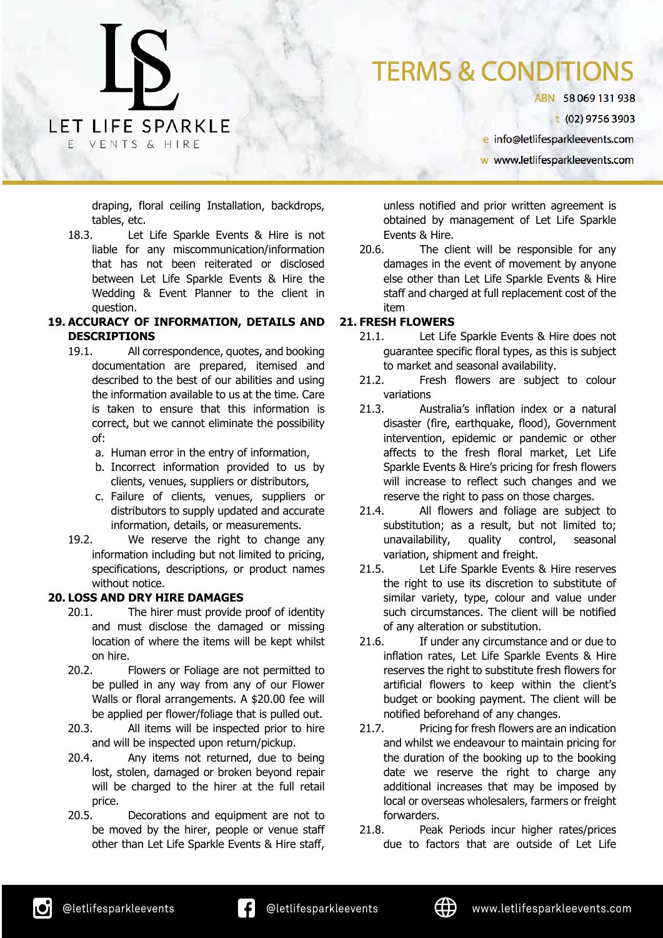ABN 58069131938

t (02) 9756 3903

e info@letlifesparkleevents.com

w www.letlifesparkleevents.com

draping, floral ceiling Installation, backdrops, tables, etc.

LET LIFE SPARKLE

VENTS & HIRE

18.3. Let Life Sparkle Events & Hire is not liable for any miscommunication/information that has not been reiterated or disclosed between Let Life Sparkle Events & Hire the Wedding & Event Planner to the client in question.

#### **19. ACCURACY OF INFORMATION, DETAILS AND DESCRIPTIONS**

- 19.1. All correspondence, quotes, and booking documentation are prepared, itemised and described to the best of our abilities and using the information available to us at the time. Care is taken to ensure that this information is correct, but we cannot eliminate the possibility of:
	- a. Human error in the entry of information,
	- b. Incorrect information provided to us by clients, venues, suppliers or distributors,
	- c. Failure of clients, venues, suppliers or distributors to supply updated and accurate information, details, or measurements.
- 19.2. We reserve the right to change any information including but not limited to pricing, specifications, descriptions, or product names without notice.

#### **20. LOSS AND DRY HIRE DAMAGES**

- 20.1. The hirer must provide proof of identity and must disclose the damaged or missing location of where the items will be kept whilst on hire.
- 20.2. Flowers or Foliage are not permitted to be pulled in any way from any of our Flower Walls or floral arrangements. A \$20.00 fee will be applied per flower/foliage that is pulled out.
- 20.3. All items will be inspected prior to hire and will be inspected upon return/pickup.
- 20.4. Any items not returned, due to being lost, stolen, damaged or broken beyond repair will be charged to the hirer at the full retail price.
- 20.5. Decorations and equipment are not to be moved by the hirer, people or venue staff other than Let Life Sparkle Events & Hire staff,

unless notified and prior written agreement is obtained by management of Let Life Sparkle Events & Hire.

20.6. The client will be responsible for any damages in the event of movement by anyone else other than Let Life Sparkle Events & Hire staff and charged at full replacement cost of the item

#### **21. FRESH FLOWERS**

- 21.1. Let Life Sparkle Events & Hire does not guarantee specific floral types, as this is subject to market and seasonal availability.
- 21.2. Fresh flowers are subject to colour variations
- 21.3. Australia's inflation index or a natural disaster (fire, earthquake, flood), Government intervention, epidemic or pandemic or other affects to the fresh floral market, Let Life Sparkle Events & Hire's pricing for fresh flowers will increase to reflect such changes and we reserve the right to pass on those charges.
- 21.4. All flowers and foliage are subject to substitution; as a result, but not limited to; unavailability, quality control, seasonal variation, shipment and freight.
- 21.5. Let Life Sparkle Events & Hire reserves the right to use its discretion to substitute of similar variety, type, colour and value under such circumstances. The client will be notified of any alteration or substitution.
- 21.6. If under any circumstance and or due to inflation rates, Let Life Sparkle Events & Hire reserves the right to substitute fresh flowers for artificial flowers to keep within the client's budget or booking payment. The client will be notified beforehand of any changes.
- 21.7. Pricing for fresh flowers are an indication and whilst we endeavour to maintain pricing for the duration of the booking up to the booking date we reserve the right to charge any additional increases that may be imposed by local or overseas wholesalers, farmers or freight forwarders.
- 21.8. Peak Periods incur higher rates/prices due to factors that are outside of Let Life

ıОi

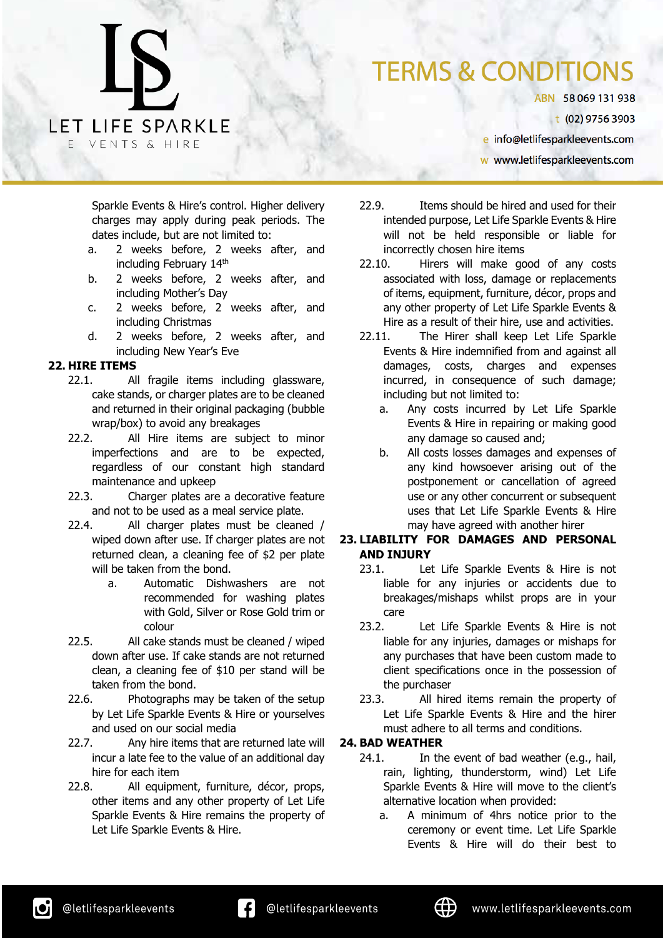### **TERMS & CONDITIONS**

ABN 58069131938

t (02) 9756 3903

e info@letlifesparkleevents.com

w www.letlifesparkleevents.com

Sparkle Events & Hire's control. Higher delivery charges may apply during peak periods. The dates include, but are not limited to:

- a. 2 weeks before, 2 weeks after, and including February 14th
- b. 2 weeks before, 2 weeks after, and including Mother's Day
- c. 2 weeks before, 2 weeks after, and including Christmas
- d. 2 weeks before, 2 weeks after, and including New Year's Eve

#### **22. HIRE ITEMS**

- 22.1. All fragile items including glassware, cake stands, or charger plates are to be cleaned and returned in their original packaging (bubble wrap/box) to avoid any breakages
- 22.2. All Hire items are subject to minor imperfections and are to be expected, regardless of our constant high standard maintenance and upkeep
- 22.3. Charger plates are a decorative feature and not to be used as a meal service plate.
- 22.4. All charger plates must be cleaned / wiped down after use. If charger plates are not returned clean, a cleaning fee of \$2 per plate will be taken from the bond.
	- a. Automatic Dishwashers are not recommended for washing plates with Gold, Silver or Rose Gold trim or colour
- 22.5. All cake stands must be cleaned / wiped down after use. If cake stands are not returned clean, a cleaning fee of \$10 per stand will be taken from the bond.
- 22.6. Photographs may be taken of the setup by Let Life Sparkle Events & Hire or yourselves and used on our social media
- 22.7. Any hire items that are returned late will incur a late fee to the value of an additional day hire for each item
- 22.8. All equipment, furniture, décor, props, other items and any other property of Let Life Sparkle Events & Hire remains the property of Let Life Sparkle Events & Hire.
- 22.9. Items should be hired and used for their intended purpose, Let Life Sparkle Events & Hire will not be held responsible or liable for incorrectly chosen hire items
- 22.10. Hirers will make good of any costs associated with loss, damage or replacements of items, equipment, furniture, décor, props and any other property of Let Life Sparkle Events & Hire as a result of their hire, use and activities.
- 22.11. The Hirer shall keep Let Life Sparkle Events & Hire indemnified from and against all damages, costs, charges and expenses incurred, in consequence of such damage; including but not limited to:
	- a. Any costs incurred by Let Life Sparkle Events & Hire in repairing or making good any damage so caused and;
	- b. All costs losses damages and expenses of any kind howsoever arising out of the postponement or cancellation of agreed use or any other concurrent or subsequent uses that Let Life Sparkle Events & Hire may have agreed with another hirer

#### **23. LIABILITY FOR DAMAGES AND PERSONAL AND INJURY**

- 23.1. Let Life Sparkle Events & Hire is not liable for any injuries or accidents due to breakages/mishaps whilst props are in your care
- 23.2. Let Life Sparkle Events & Hire is not liable for any injuries, damages or mishaps for any purchases that have been custom made to client specifications once in the possession of the purchaser
- 23.3. All hired items remain the property of Let Life Sparkle Events & Hire and the hirer must adhere to all terms and conditions.

#### **24. BAD WEATHER**

- 24.1. In the event of bad weather (e.g., hail, rain, lighting, thunderstorm, wind) Let Life Sparkle Events & Hire will move to the client's alternative location when provided:
	- a. A minimum of 4hrs notice prior to the ceremony or event time. Let Life Sparkle Events & Hire will do their best to

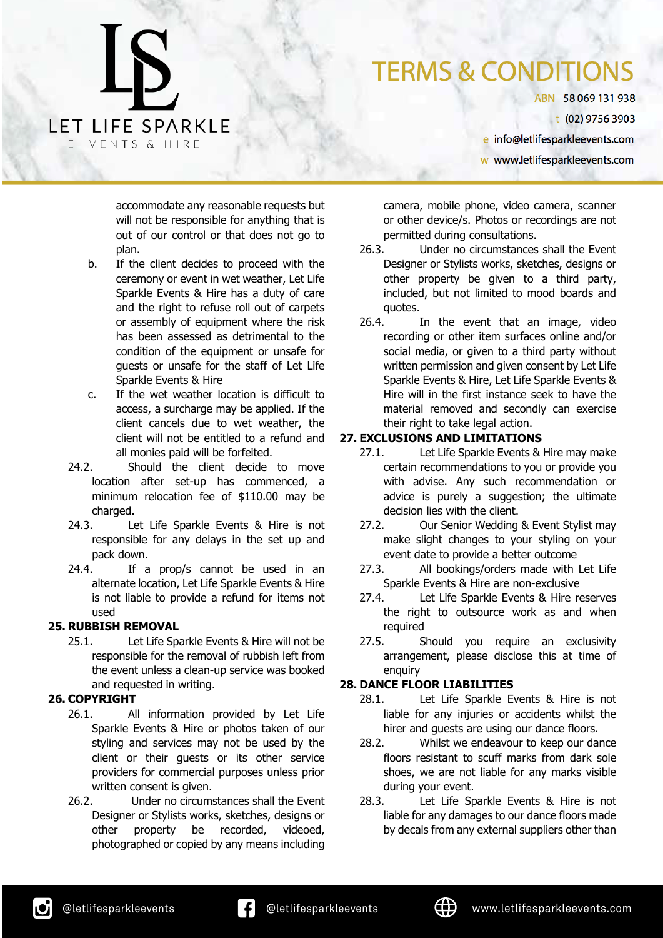ABN 58069131938

t (02) 9756 3903

e info@letlifesparkleevents.com

w www.letlifesparkleevents.com

accommodate any reasonable requests but will not be responsible for anything that is out of our control or that does not go to plan.

LET LIFE SPARKLE

VENTS & HIRE

- b. If the client decides to proceed with the ceremony or event in wet weather, Let Life Sparkle Events & Hire has a duty of care and the right to refuse roll out of carpets or assembly of equipment where the risk has been assessed as detrimental to the condition of the equipment or unsafe for guests or unsafe for the staff of Let Life Sparkle Events & Hire
- c. If the wet weather location is difficult to access, a surcharge may be applied. If the client cancels due to wet weather, the client will not be entitled to a refund and all monies paid will be forfeited.
- 24.2. Should the client decide to move location after set-up has commenced, a minimum relocation fee of \$110.00 may be charged.
- 24.3. Let Life Sparkle Events & Hire is not responsible for any delays in the set up and pack down.
- 24.4. If a prop/s cannot be used in an alternate location, Let Life Sparkle Events & Hire is not liable to provide a refund for items not used

#### **25. RUBBISH REMOVAL**

25.1. Let Life Sparkle Events & Hire will not be responsible for the removal of rubbish left from the event unless a clean-up service was booked and requested in writing.

#### **26. COPYRIGHT**

- 26.1. All information provided by Let Life Sparkle Events & Hire or photos taken of our styling and services may not be used by the client or their guests or its other service providers for commercial purposes unless prior written consent is given.
- 26.2. Under no circumstances shall the Event Designer or Stylists works, sketches, designs or other property be recorded, videoed, photographed or copied by any means including

camera, mobile phone, video camera, scanner or other device/s. Photos or recordings are not permitted during consultations.

- 26.3. Under no circumstances shall the Event Designer or Stylists works, sketches, designs or other property be given to a third party, included, but not limited to mood boards and quotes.
- 26.4. In the event that an image, video recording or other item surfaces online and/or social media, or given to a third party without written permission and given consent by Let Life Sparkle Events & Hire, Let Life Sparkle Events & Hire will in the first instance seek to have the material removed and secondly can exercise their right to take legal action.

#### **27. EXCLUSIONS AND LIMITATIONS**

- 27.1. Let Life Sparkle Events & Hire may make certain recommendations to you or provide you with advise. Any such recommendation or advice is purely a suggestion; the ultimate decision lies with the client.
- 27.2. Our Senior Wedding & Event Stylist may make slight changes to your styling on your event date to provide a better outcome
- 27.3. All bookings/orders made with Let Life Sparkle Events & Hire are non-exclusive
- 27.4. Let Life Sparkle Events & Hire reserves the right to outsource work as and when required
- 27.5. Should you require an exclusivity arrangement, please disclose this at time of enquiry

#### **28. DANCE FLOOR LIABILITIES**

- 28.1. Let Life Sparkle Events & Hire is not liable for any injuries or accidents whilst the hirer and guests are using our dance floors.
- 28.2. Whilst we endeavour to keep our dance floors resistant to scuff marks from dark sole shoes, we are not liable for any marks visible during your event.
- 28.3. Let Life Sparkle Events & Hire is not liable for any damages to our dance floors made by decals from any external suppliers other than

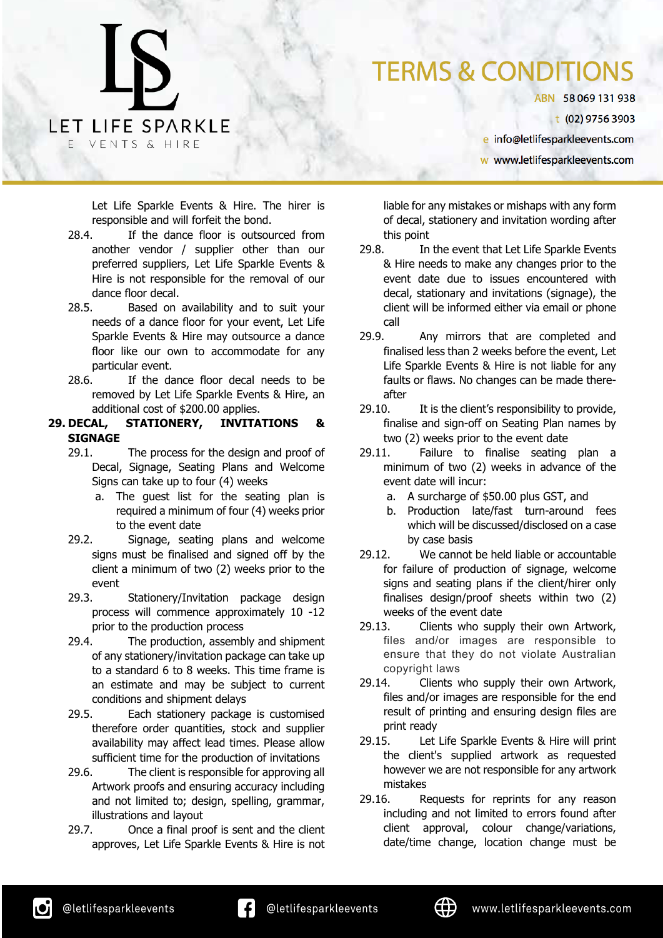### **TERMS & CONDITIO**

ABN 58069131938

t (02) 9756 3903

e info@letlifesparkleevents.com

w www.letlifesparkleevents.com

Let Life Sparkle Events & Hire. The hirer is responsible and will forfeit the bond.

- 28.4. If the dance floor is outsourced from another vendor / supplier other than our preferred suppliers, Let Life Sparkle Events & Hire is not responsible for the removal of our dance floor decal.
- 28.5. Based on availability and to suit your needs of a dance floor for your event, Let Life Sparkle Events & Hire may outsource a dance floor like our own to accommodate for any particular event.
- 28.6. If the dance floor decal needs to be removed by Let Life Sparkle Events & Hire, an additional cost of \$200.00 applies.
- **29. DECAL, STATIONERY, INVITATIONS & SIGNAGE**
	- 29.1. The process for the design and proof of Decal, Signage, Seating Plans and Welcome Signs can take up to four (4) weeks
		- a. The guest list for the seating plan is required a minimum of four (4) weeks prior to the event date
	- 29.2. Signage, seating plans and welcome signs must be finalised and signed off by the client a minimum of two (2) weeks prior to the event
	- 29.3. Stationery/Invitation package design process will commence approximately 10 -12 prior to the production process
	- 29.4. The production, assembly and shipment of any stationery/invitation package can take up to a standard 6 to 8 weeks. This time frame is an estimate and may be subject to current conditions and shipment delays
	- 29.5. Each stationery package is customised therefore order quantities, stock and supplier availability may affect lead times. Please allow sufficient time for the production of invitations
	- 29.6. The client is responsible for approving all Artwork proofs and ensuring accuracy including and not limited to; design, spelling, grammar, illustrations and layout
	- 29.7. Once a final proof is sent and the client approves, Let Life Sparkle Events & Hire is not

liable for any mistakes or mishaps with any form of decal, stationery and invitation wording after this point

- 29.8. In the event that Let Life Sparkle Events & Hire needs to make any changes prior to the event date due to issues encountered with decal, stationary and invitations (signage), the client will be informed either via email or phone call
- 29.9. Any mirrors that are completed and finalised less than 2 weeks before the event, Let Life Sparkle Events & Hire is not liable for any faults or flaws. No changes can be made thereafter
- 29.10. It is the client's responsibility to provide, finalise and sign-off on Seating Plan names by two (2) weeks prior to the event date
- 29.11. Failure to finalise seating plan a minimum of two (2) weeks in advance of the event date will incur:
	- a. A surcharge of \$50.00 plus GST, and
	- b. Production late/fast turn-around fees which will be discussed/disclosed on a case by case basis
- 29.12. We cannot be held liable or accountable for failure of production of signage, welcome signs and seating plans if the client/hirer only finalises design/proof sheets within two (2) weeks of the event date
- 29.13. Clients who supply their own Artwork, files and/or images are responsible to ensure that they do not violate Australian copyright laws
- 29.14. Clients who supply their own Artwork, files and/or images are responsible for the end result of printing and ensuring design files are print ready
- 29.15. Let Life Sparkle Events & Hire will print the client's supplied artwork as requested however we are not responsible for any artwork mistakes
- 29.16. Requests for reprints for any reason including and not limited to errors found after client approval, colour change/variations, date/time change, location change must be